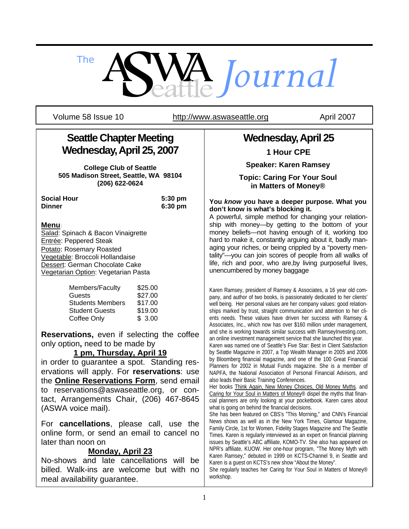

Volume 58 Issue 10 http://www.aswaseattle.org April 2007

# **Seattle Chapter Meeting Wednesday, April 25, 2007**

**College Club of Seattle 505 Madison Street, Seattle, WA 98104 (206) 622-0624** 

**Social Hour 5:30 pm Dinner 6:30 pm**

### **Menu**:

Salad: Spinach & Bacon Vinaigrette Entrée: Peppered Steak Potato: Rosemary Roasted Vegetable: Broccoli Hollandaise Dessert: German Chocolate Cake Vegetarian Option: Vegetarian Pasta

| Members/Faculty         | \$25.00 |
|-------------------------|---------|
| Guests                  | \$27.00 |
| <b>Students Members</b> | \$17.00 |
| <b>Student Guests</b>   | \$19.00 |
| Coffee Only             | \$3.00  |

**Reservations,** even if selecting the coffee only option**,** need to be made by

### **1 pm, Thursday, April 19**

in order to guarantee a spot. Standing reservations will apply. For **reservations**: use the **Online Reservations Form**, send email to reservations@aswaseattle.org, or contact, Arrangements Chair, (206) 467-8645 (ASWA voice mail).

For **cancellations**, please call, use the online form, or send an email to cancel no later than noon on

### **Monday, April 23**

No-shows and late cancellations will be billed. Walk-ins are welcome but with no meal availability guarantee.

## **Wednesday, April 25**

**1 Hour CPE** 

**Speaker: Karen Ramsey** 

**Topic: Caring For Your Soul in Matters of Money®** 

#### **You** *know* **you have a deeper purpose. What you don't know is what's blocking it.**

A powerful, simple method for changing your relationship with money—by getting to the bottom of your money beliefs—not having enough of it, working too hard to make it, constantly arguing about it, badly managing your riches, or being crippled by a "poverty mentality"—you can join scores of people from all walks of life, rich and poor, who are,by living purposeful lives, unencumbered by money baggage

Karen Ramsey, president of Ramsey & Associates, a 16 year old company, and author of two books, is passionately dedicated to her clients' well being. Her personal values are her company values: good relationships marked by trust, straight communication and attention to her clients needs. These values have driven her success with Ramsey & Associates, Inc., which now has over \$160 million under management, and she is working towards similar success with RamseyInvesting.com, an online investment management service that she launched this year.

Karen was named one of Seattle's Five Star: Best in Client Satisfaction by Seattle Magazine in 2007, a Top Wealth Manager in 2005 and 2006 by Bloomberg financial magazine, and one of the 100 Great Financial Planners for 2002 in Mutual Funds magazine. She is a member of NAPFA, the National Association of Personal Financial Advisors, and also leads their Basic Training Conferences.

Her books Think Again, New Money Choices, Old Money Myths*.* and Caring for Your Soul in Matters of Money® dispel the myths that financial planners are only looking at your pocketbook. Karen cares about what is going on behind the financial decisions.

She has been featured on CBS's "This Morning," and CNN's Financial News shows as well as in the New York Times, Glamour Magazine, Family Circle, 1st for Women, Fidelity Stages Magazine and The Seattle Times. Karen is regularly interviewed as an expert on financial planning issues by Seattle's ABC affiliate, KOMO-TV. She also has appeared on NPR's affiliate, KUOW. Her one-hour program, "The Money Myth with Karen Ramsey," debuted in 1999 on KCTS-Channel 9, in Seattle and Karen is a guest on KCTS's new show "About the Money".

She regularly teaches her Caring for Your Soul in Matters of Money® workshop.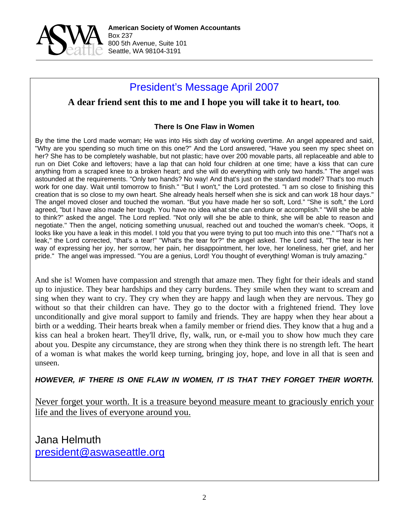

## President's Message April 2007

## **A dear friend sent this to me and I hope you will take it to heart, too***.*

### **There Is One Flaw in Women**

By the time the Lord made woman; He was into His sixth day of working overtime. An angel appeared and said, "Why are you spending so much time on this one?" And the Lord answered, "Have you seen my spec sheet on her? She has to be completely washable, but not plastic; have over 200 movable parts, all replaceable and able to run on Diet Coke and leftovers; have a lap that can hold four children at one time; have a kiss that can cure anything from a scraped knee to a broken heart; and she will do everything with only two hands." The angel was astounded at the requirements. "Only two hands? No way! And that's just on the standard model? That's too much work for one day. Wait until tomorrow to finish." "But I won't," the Lord protested. "I am so close to finishing this creation that is so close to my own heart. She already heals herself when she is sick and can work 18 hour days." The angel moved closer and touched the woman. "But you have made her so soft, Lord." "She is soft," the Lord agreed, "but I have also made her tough. You have no idea what she can endure or accomplish." "Will she be able to think?" asked the angel. The Lord replied. "Not only will she be able to think, she will be able to reason and negotiate." Then the angel, noticing something unusual, reached out and touched the woman's cheek. "Oops, it looks like you have a leak in this model. I told you that you were trying to put too much into this one." "That's not a leak," the Lord corrected, "that's a tear!" "What's the tear for?" the angel asked. The Lord said, "The tear is her way of expressing her joy, her sorrow, her pain, her disappointment, her love, her loneliness, her grief, and her pride." The angel was impressed. "You are a genius, Lord! You thought of everything! Woman is truly amazing."

And she is! Women have compassion and strength that amaze men. They fight for their ideals and stand up to injustice. They bear hardships and they carry burdens. They smile when they want to scream and sing when they want to cry. They cry when they are happy and laugh when they are nervous. They go without so that their children can have. They go to the doctor with a frightened friend. They love unconditionally and give moral support to family and friends. They are happy when they hear about a birth or a wedding. Their hearts break when a family member or friend dies. They know that a hug and a kiss can heal a broken heart. They'll drive, fly, walk, run, or e-mail you to show how much they care about you. Despite any circumstance, they are strong when they think there is no strength left. The heart of a woman is what makes the world keep turning, bringing joy, hope, and love in all that is seen and unseen.

*HOWEVER, IF THERE IS ONE FLAW IN WOMEN, IT IS THAT THEY FORGET THEIR WORTH.*

Never forget your worth. It is a treasure beyond measure meant to graciously enrich your life and the lives of everyone around you.

Jana Helmuth president@aswaseattle.org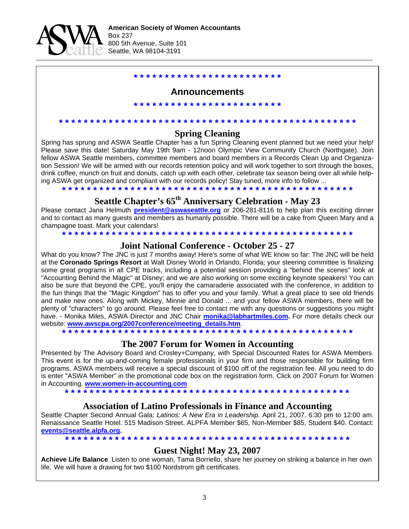

## **\* \* \* \* \* \* \* \* \* \* \* \* \* \* \* \* \* \* \* \* \* \* \* \***

### **Announcements**

**\* \* \* \* \* \* \* \* \* \* \* \* \* \* \* \* \* \* \* \* \* \* \* \***

**Spring Cleaning**  Spring has sprung and ASWA Seattle Chapter has a fun Spring Cleaning event planned but we need your help!

**\* \* \* \* \* \* \* \* \* \* \* \* \* \* \* \* \* \* \* \* \* \* \* \* \* \* \* \* \* \* \* \* \* \* \* \* \* \* \* \* \* \* \* \* \* \* \* \*** 

Please save this date! Saturday May 19th 9am - 12noon Olympic View Community Church (Northgate). Join fellow ASWA Seattle members, committee members and board members in a Records Clean Up and Organization Session! We will be armed with our records retention policy and will work together to sort through the boxes, drink coffee, munch on fruit and donuts, catch up with each other, celebrate tax season being over all while helping ASWA get organized and compliant with our records policy! Stay tuned, more info to follow ...

**\* \* \* \* \* \* \* \* \* \* \* \* \* \* \* \* \* \* \* \* \* \* \* \* \* \* \* \* \* \* \* \* \* \* \* \* \* \* \* \* \* \* \* \* \* \* \***

# **Seattle Chapter's 65th Anniversary Celebration - May 23**

Please contact Jana Helmuth **president@aswaseattle.org** or 206-281-8116 to help plan this exciting dinner and to contact as many guests and members as humanly possible. There will be a cake from Queen Mary and a champagne toast. Mark your calendars! **\* \* \* \* \* \* \* \* \* \* \* \* \* \* \* \* \* \* \* \* \* \* \* \* \* \* \* \* \* \* \* \* \* \* \* \* \* \* \* \* \* \* \* \* \* \* \***

### **Joint National Conference - October 25 - 27**

What do you know? The JNC is just 7 months away! Here's some of what WE know so far: The JNC will be held at the **Coronado Springs Resort** at Walt Disney World in Orlando, Florida; your steering committee is finalizing some great programs in all CPE tracks, including a potential session providing a "behind the scenes" look at "Accounting Behind the Magic" at Disney; and we are also working on some exciting keynote speakers! You can also be sure that beyond the CPE, you'll enjoy the camaraderie associated with the conference, in addition to the fun things that the "Magic Kingdom" has to offer you and your family. What a great place to see old friends and make new ones. Along with Mickey, Minnie and Donald ... and your fellow ASWA members, there will be plenty of "characters" to go around. Please feel free to contact me with any questions or suggestions you might have. - Monika Miles, ASWA Director and JNC Chair **monika@labhartmiles.com.** For more details check our website: **www.awscpa.org/2007conference/meeting\_details.htm**.

**\* \* \* \* \* \* \* \* \* \* \* \* \* \* \* \* \* \* \* \* \* \* \* \* \* \* \* \* \* \* \* \* \* \* \* \* \* \* \* \* \* \* \* \* \* \* \*** 

### **The 2007 Forum for Women in Accounting**

Presented by The Advisory Board and Crosley+Company, with Special Discounted Rates for ASWA Members. This event is for the up-and-coming female professionals in your firm and those responsible for building firm programs. ASWA members will receive a special discount of \$100 off of the registration fee. All you need to do is enter "ASWA Member" in the promotional code box on the registration form. Click on 2007 Forum for Women in Accounting. **www.women-in-accounting.com**

**\* \* \* \* \* \* \* \* \* \* \* \* \* \* \* \* \* \* \* \* \* \* \* \* \* \* \* \* \* \* \* \* \* \* \* \* \* \* \* \* \* \* \* \* \* \*** 

#### **Association of Latino Professionals in Finance and Accounting**

Seattle Chapter Second Annual Gala: *Latinos: A New Era in Leadership.* April 21, 2007. 6:30 pm to 12:00 am. Renaissance Seattle Hotel. 515 Madison Street. ALPFA Member \$65, Non-Member \$85, Student \$40. Contact: **events@seattle.alpfa.org.** 

**\* \* \* \* \* \* \* \* \* \* \* \* \* \* \* \* \* \* \* \* \* \* \* \* \* \* \* \* \* \* \* \* \* \* \* \* \* \* \* \* \* \* \* \* \* \* Guest Night! May 23, 2007** 

**Achieve Life Balance**. Listen to one woman, Tama Borriello, share her journey on striking a balance in her own life. We will have a drawing for two \$100 Nordstrom gift certificates.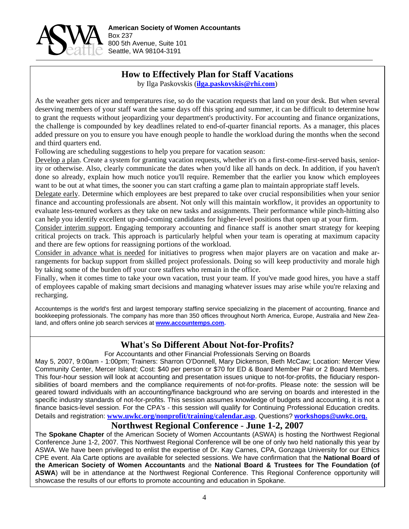

## **How to Effectively Plan for Staff Vacations**

by Ilga Paskovskis (**ilga.paskovskis@rhi.com**)

As the weather gets nicer and temperatures rise, so do the vacation requests that land on your desk. But when several deserving members of your staff want the same days off this spring and summer, it can be difficult to determine how to grant the requests without jeopardizing your department's productivity. For accounting and finance organizations, the challenge is compounded by key deadlines related to end-of-quarter financial reports. As a manager, this places added pressure on you to ensure you have enough people to handle the workload during the months when the second and third quarters end.

Following are scheduling suggestions to help you prepare for vacation season:

Develop a plan. Create a system for granting vacation requests, whether it's on a first-come-first-served basis, seniority or otherwise. Also, clearly communicate the dates when you'd like all hands on deck. In addition, if you haven't done so already, explain how much notice you'll require. Remember that the earlier you know which employees want to be out at what times, the sooner you can start crafting a game plan to maintain appropriate staff levels.

Delegate early. Determine which employees are best prepared to take over crucial responsibilities when your senior finance and accounting professionals are absent. Not only will this maintain workflow, it provides an opportunity to evaluate less-tenured workers as they take on new tasks and assignments. Their performance while pinch-hitting also can help you identify excellent up-and-coming candidates for higher-level positions that open up at your firm.

Consider interim support. Engaging temporary accounting and finance staff is another smart strategy for keeping critical projects on track. This approach is particularly helpful when your team is operating at maximum capacity and there are few options for reassigning portions of the workload.

Consider in advance what is needed for initiatives to progress when major players are on vacation and make arrangements for backup support from skilled project professionals. Doing so will keep productivity and morale high by taking some of the burden off your core staffers who remain in the office.

Finally, when it comes time to take your own vacation, trust your team. If you've made good hires, you have a staff of employees capable of making smart decisions and managing whatever issues may arise while you're relaxing and recharging.

Accountemps is the world's first and largest temporary staffing service specializing in the placement of accounting, finance and bookkeeping professionals. The company has more than 350 offices throughout North America, Europe, Australia and New Zealand, and offers online job search services at **www.accountemps.com.**

## **What's So Different About Not-for-Profits?**

For Accountants and other Financial Professionals Serving on Boards

May 5, 2007, 9:00am - 1:00pm; Trainers: Sharron O'Donnell, Mary Dickenson, Beth McCaw; Location: Mercer View Community Center, Mercer Island; Cost: \$40 per person or \$70 for ED & Board Member Pair or 2 Board Members. This four-hour session will look at accounting and presentation issues unique to not-for-profits, the fiduciary responsibilities of board members and the compliance requirements of not-for-profits. Please note: the session will be geared toward individuals with an accounting/finance background who are serving on boards and interested in the specific industry standards of not-for-profits. This session assumes knowledge of budgets and accounting, it is not a finance basics-level session. For the CPA's - this session will qualify for Continuing Professional Education credits. Details and registration: **www.uwkc.org/nonprofit/training/calendar.asp**. Questions? **workshops@uwkc.org.**

### **Northwest Regional Conference** - **June 1-2, 2007**

The **Spokane Chapter** of the American Society of Women Accountants (ASWA) is hosting the Northwest Regional Conference June 1-2, 2007. This Northwest Regional Conference will be one of only two held nationally this year by ASWA. We have been privileged to enlist the expertise of Dr. Kay Carnes, CPA, Gonzaga University for our Ethics CPE event. Ala Carte options are available for selected sessions. We have confirmation that the **National Board of the American Society of Women Accountants** and the **National Board & Trustees for The Foundation (of ASWA**) will be in attendance at the Northwest Regional Conference. This Regional Conference opportunity will showcase the results of our efforts to promote accounting and education in Spokane.